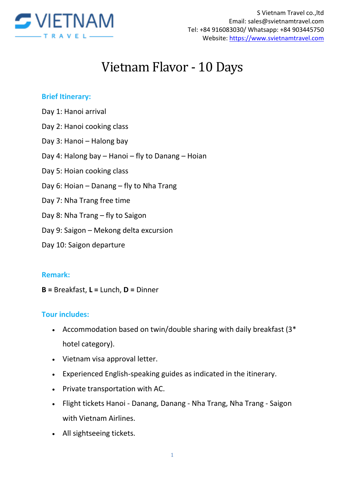

# Vietnam Flavor - 10 Days

#### **Brief Itinerary:**

- Day 1: Hanoi arrival
- Day 2: Hanoi cooking class
- Day 3: Hanoi Halong bay
- Day 4: Halong bay Hanoi fly to Danang Hoian
- Day 5: Hoian cooking class
- Day 6: Hoian Danang fly to Nha Trang
- Day 7: Nha Trang free time
- Day 8: Nha Trang fly to Saigon
- Day 9: Saigon Mekong delta excursion
- Day 10: Saigon departure

#### **Remark:**

**B =** Breakfast, **L =** Lunch, **D =** Dinner

#### **Tour includes:**

- Accommodation based on twin/double sharing with daily breakfast (3\* hotel category).
- Vietnam visa approval letter.
- Experienced English-speaking guides as indicated in the itinerary.
- Private transportation with AC.
- Flight tickets Hanoi Danang, Danang Nha Trang, Nha Trang Saigon with Vietnam Airlines.
- All sightseeing tickets.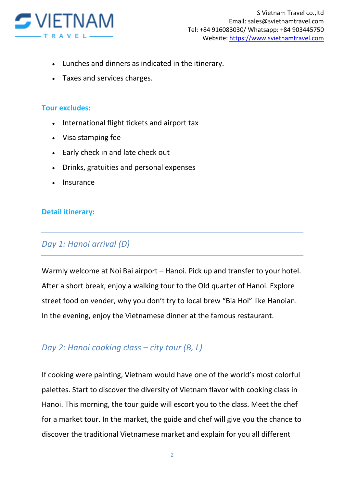

- Lunches and dinners as indicated in the itinerary.
- Taxes and services charges.

#### **Tour excludes:**

- International flight tickets and airport tax
- Visa stamping fee
- Early check in and late check out
- Drinks, gratuities and personal expenses
- Insurance

#### **Detail itinerary:**

#### *Day 1: Hanoi arrival (D)*

Warmly welcome at Noi Bai airport – Hanoi. Pick up and transfer to your hotel. After a short break, enjoy a walking tour to the Old quarter of Hanoi. Explore street food on vender, why you don't try to local brew "Bia Hoi" like Hanoian. In the evening, enjoy the Vietnamese dinner at the famous restaurant.

## *Day 2: Hanoi cooking class – city tour (B, L)*

If cooking were painting, Vietnam would have one of the world's most colorful palettes. Start to discover the diversity of Vietnam flavor with cooking class in Hanoi. This morning, the tour guide will escort you to the class. Meet the chef for a market tour. In the market, the guide and chef will give you the chance to discover the traditional Vietnamese market and explain for you all different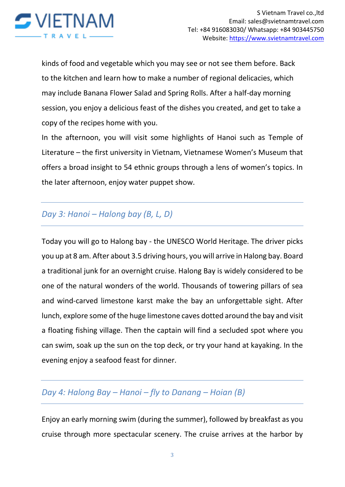

kinds of food and vegetable which you may see or not see them before. Back to the kitchen and learn how to make a number of regional delicacies, which may include Banana Flower Salad and Spring Rolls. After a half-day morning session, you enjoy a delicious feast of the dishes you created, and get to take a copy of the recipes home with you.

In the afternoon, you will visit some highlights of Hanoi such as Temple of Literature – the first university in Vietnam, Vietnamese Women's Museum that offers a broad insight to 54 ethnic groups through a lens of women's topics. In the later afternoon, enjoy water puppet show.

# *Day 3: Hanoi – Halong bay (B, L, D)*

Today you will go to Halong bay - the UNESCO World Heritage. The driver picks you up at 8 am. After about 3.5 driving hours, you will arrive in Halong bay. Board a traditional junk for an overnight cruise. Halong Bay is widely considered to be one of the natural wonders of the world. Thousands of towering pillars of sea and wind-carved limestone karst make the bay an unforgettable sight. After lunch, explore some of the huge limestone caves dotted around the bay and visit a floating fishing village. Then the captain will find a secluded spot where you can swim, soak up the sun on the top deck, or try your hand at kayaking. In the evening enjoy a seafood feast for dinner.

# *Day 4: Halong Bay – Hanoi – fly to Danang – Hoian (B)*

Enjoy an early morning swim (during the summer), followed by breakfast as you cruise through more spectacular scenery. The cruise arrives at the harbor by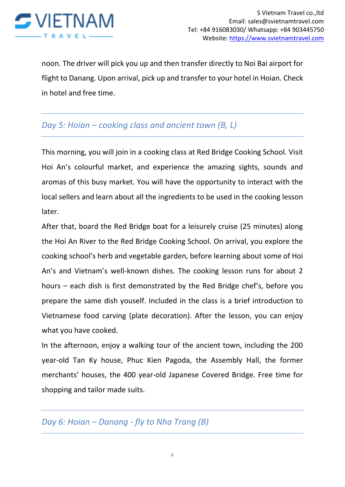

noon. The driver will pick you up and then transfer directly to Noi Bai airport for flight to Danang. Upon arrival, pick up and transfer to your hotel in Hoian. Check in hotel and free time.

## *Day 5: Hoian – cooking class and ancient town (B, L)*

This morning, you will join in a cooking class at Red Bridge Cooking School. Visit Hoi An's colourful market, and experience the amazing sights, sounds and aromas of this busy market. You will have the opportunity to interact with the local sellers and learn about all the ingredients to be used in the cooking lesson later.

After that, board the Red Bridge boat for a leisurely cruise (25 minutes) along the Hoi An River to the Red Bridge Cooking School. On arrival, you explore the cooking school's herb and vegetable garden, before learning about some of Hoi An's and Vietnam's well-known dishes. The cooking lesson runs for about 2 hours – each dish is first demonstrated by the Red Bridge chef's, before you prepare the same dish youself. Included in the class is a brief introduction to Vietnamese food carving (plate decoration). After the lesson, you can enjoy what you have cooked.

In the afternoon, enjoy a walking tour of the ancient town, including the 200 year-old Tan Ky house, Phuc Kien Pagoda, the Assembly Hall, the former merchants' houses, the 400 year-old Japanese Covered Bridge. Free time for shopping and tailor made suits.

#### *Day 6: Hoian – Danang - fly to Nha Trang (B)*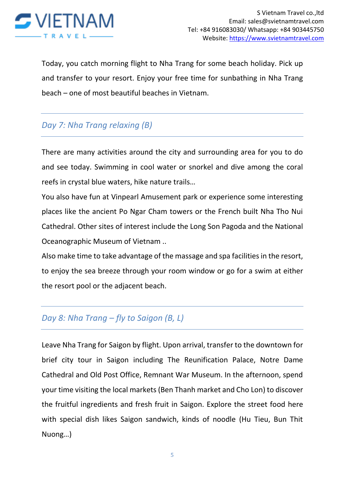

Today, you catch morning flight to Nha Trang for some beach holiday. Pick up and transfer to your resort. Enjoy your free time for sunbathing in Nha Trang beach – one of most beautiful beaches in Vietnam.

# *Day 7: Nha Trang relaxing (B)*

There are many activities around the city and surrounding area for you to do and see today. Swimming in cool water or snorkel and dive among the coral reefs in crystal blue waters, hike nature trails…

You also have fun at Vinpearl Amusement park or experience some interesting places like the ancient Po Ngar Cham towers or the French built Nha Tho Nui Cathedral. Other sites of interest include the Long Son Pagoda and the National Oceanographic Museum of Vietnam ..

Also make time to take advantage of the massage and spa facilities in the resort, to enjoy the sea breeze through your room window or go for a swim at either the resort pool or the adjacent beach.

## *Day 8: Nha Trang – fly to Saigon (B, L)*

Leave Nha Trang for Saigon by flight. Upon arrival, transfer to the downtown for brief city tour in Saigon including The Reunification Palace, Notre Dame Cathedral and Old Post Office, Remnant War Museum. In the afternoon, spend your time visiting the local markets (Ben Thanh market and Cho Lon) to discover the fruitful ingredients and fresh fruit in Saigon. Explore the street food here with special dish likes Saigon sandwich, kinds of noodle (Hu Tieu, Bun Thit Nuong…)